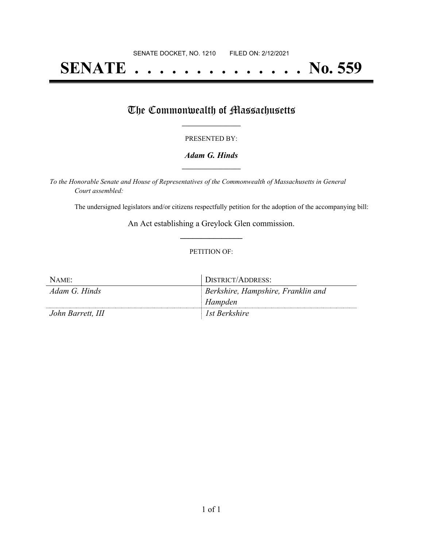# **SENATE . . . . . . . . . . . . . . No. 559**

## The Commonwealth of Massachusetts

#### PRESENTED BY:

#### *Adam G. Hinds* **\_\_\_\_\_\_\_\_\_\_\_\_\_\_\_\_\_**

*To the Honorable Senate and House of Representatives of the Commonwealth of Massachusetts in General Court assembled:*

The undersigned legislators and/or citizens respectfully petition for the adoption of the accompanying bill:

An Act establishing a Greylock Glen commission. **\_\_\_\_\_\_\_\_\_\_\_\_\_\_\_**

#### PETITION OF:

| NAME:             | DISTRICT/ADDRESS:                  |
|-------------------|------------------------------------|
| Adam G. Hinds     | Berkshire, Hampshire, Franklin and |
|                   | Hampden                            |
| John Barrett, III | <sup>1</sup> Ist Berkshire         |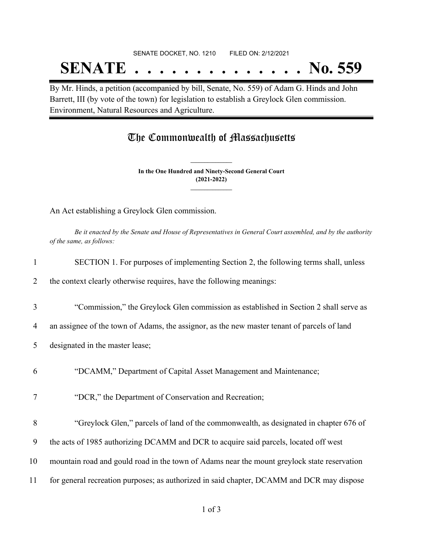# SENATE DOCKET, NO. 1210 FILED ON: 2/12/2021 **SENATE . . . . . . . . . . . . . . No. 559**

By Mr. Hinds, a petition (accompanied by bill, Senate, No. 559) of Adam G. Hinds and John Barrett, III (by vote of the town) for legislation to establish a Greylock Glen commission. Environment, Natural Resources and Agriculture.

### The Commonwealth of Massachusetts

**In the One Hundred and Ninety-Second General Court (2021-2022) \_\_\_\_\_\_\_\_\_\_\_\_\_\_\_**

**\_\_\_\_\_\_\_\_\_\_\_\_\_\_\_**

An Act establishing a Greylock Glen commission.

Be it enacted by the Senate and House of Representatives in General Court assembled, and by the authority *of the same, as follows:*

| $\mathbf{1}$ | SECTION 1. For purposes of implementing Section 2, the following terms shall, unless        |
|--------------|---------------------------------------------------------------------------------------------|
| 2            | the context clearly otherwise requires, have the following meanings:                        |
| 3            | "Commission," the Greylock Glen commission as established in Section 2 shall serve as       |
| 4            | an assignee of the town of Adams, the assignor, as the new master tenant of parcels of land |
| 5            | designated in the master lease;                                                             |
| 6            | "DCAMM," Department of Capital Asset Management and Maintenance;                            |
| 7            | "DCR," the Department of Conservation and Recreation;                                       |
| 8            | "Greylock Glen," parcels of land of the commonwealth, as designated in chapter 676 of       |
| 9            | the acts of 1985 authorizing DCAMM and DCR to acquire said parcels, located off west        |
| 10           | mountain road and gould road in the town of Adams near the mount greylock state reservation |
| 11           | for general recreation purposes; as authorized in said chapter, DCAMM and DCR may dispose   |
|              |                                                                                             |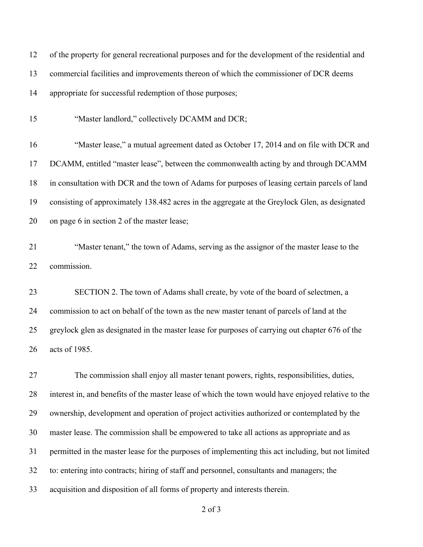| 12 | of the property for general recreational purposes and for the development of the residential and   |
|----|----------------------------------------------------------------------------------------------------|
| 13 | commercial facilities and improvements thereon of which the commissioner of DCR deems              |
| 14 | appropriate for successful redemption of those purposes;                                           |
| 15 | "Master landlord," collectively DCAMM and DCR;                                                     |
| 16 | "Master lease," a mutual agreement dated as October 17, 2014 and on file with DCR and              |
| 17 | DCAMM, entitled "master lease", between the commonwealth acting by and through DCAMM               |
| 18 | in consultation with DCR and the town of Adams for purposes of leasing certain parcels of land     |
| 19 | consisting of approximately 138.482 acres in the aggregate at the Greylock Glen, as designated     |
| 20 | on page 6 in section 2 of the master lease;                                                        |
| 21 | "Master tenant," the town of Adams, serving as the assignor of the master lease to the             |
| 22 | commission.                                                                                        |
| 23 | SECTION 2. The town of Adams shall create, by vote of the board of selectmen, a                    |
| 24 | commission to act on behalf of the town as the new master tenant of parcels of land at the         |
| 25 | greylock glen as designated in the master lease for purposes of carrying out chapter 676 of the    |
| 26 | acts of 1985.                                                                                      |
| 27 | The commission shall enjoy all master tenant powers, rights, responsibilities, duties,             |
| 28 | interest in, and benefits of the master lease of which the town would have enjoyed relative to the |
| 29 | ownership, development and operation of project activities authorized or contemplated by the       |
| 30 | master lease. The commission shall be empowered to take all actions as appropriate and as          |
| 31 | permitted in the master lease for the purposes of implementing this act including, but not limited |
| 32 | to: entering into contracts; hiring of staff and personnel, consultants and managers; the          |
| 33 | acquisition and disposition of all forms of property and interests therein.                        |

of 3